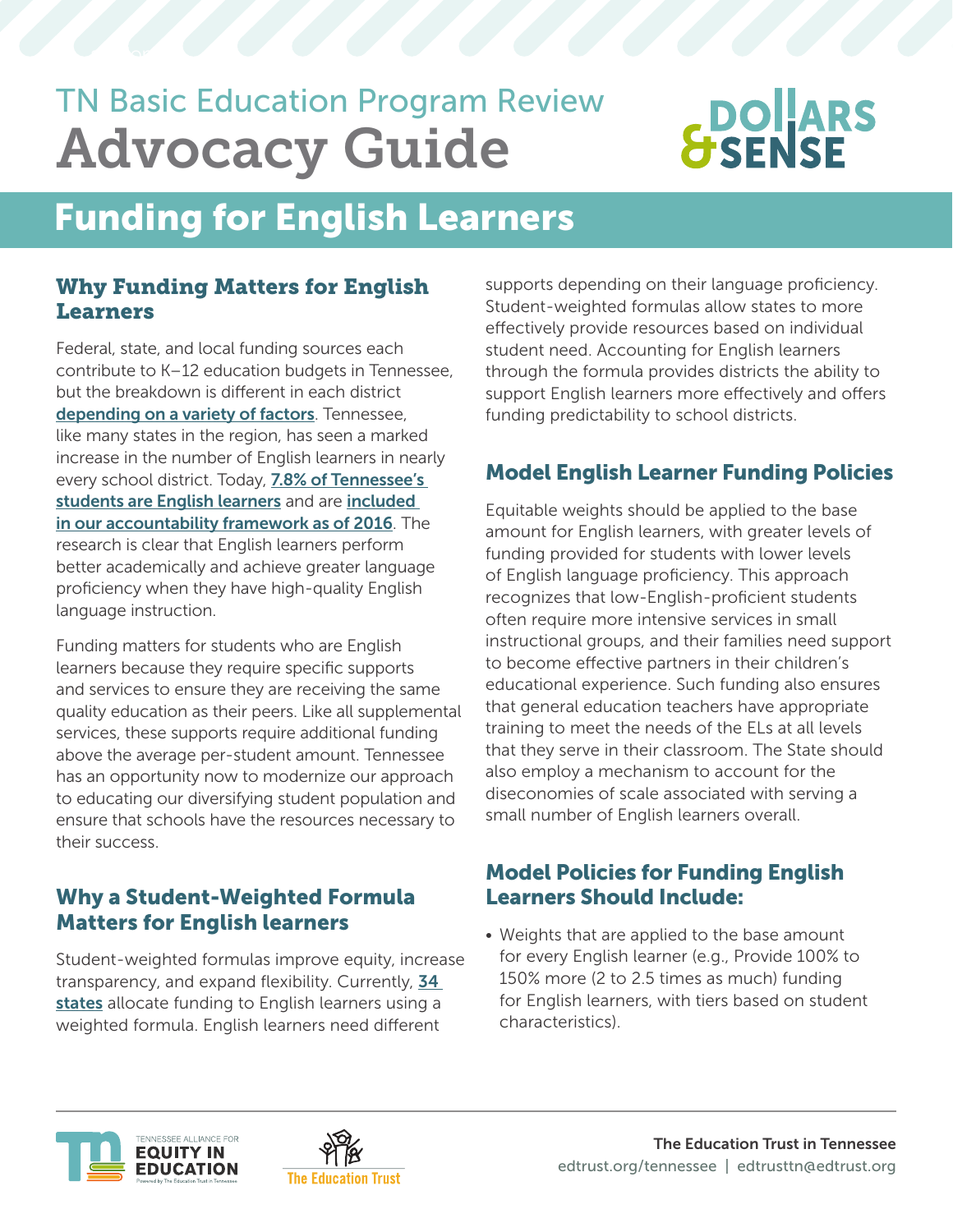## TN Basic Education Program Review Advocacy Guide

# **DOLARS**<br>SENSE

### Funding for English Learners

#### Why Funding Matters for English **Learners**

Federal, state, and local funding sources each contribute to K–12 education budgets in Tennessee, but the breakdown is different in each district [depending on a variety of factors](https://edlawcenter.org/research/tennessee/bep-primer.html). Tennessee, like many states in the region, has seen a marked increase in the number of English learners in nearly every school district. Today, 7.8% of Tennessee's [students are English learners](https://reportcard.tnedu.gov/state/0) and are included [in our accountability framework as of 2016](https://datawrapper.dwcdn.net/XRClF/4/). The research is clear that English learners perform better academically and achieve greater language proficiency when they have high-quality English language instruction.

Funding matters for students who are English learners because they require specific supports and services to ensure they are receiving the same quality education as their peers. Like all supplemental services, these supports require additional funding above the average per-student amount. Tennessee has an opportunity now to modernize our approach to educating our diversifying student population and ensure that schools have the resources necessary to their success.

#### Why a Student-Weighted Formula Matters for English learners

Student-weighted formulas improve equity, increase transparency, and expand flexibility. Currently, 34 [states](https://reports.ecs.org/comparisons/k-12-and-special-education-funding-05) allocate funding to English learners using a weighted formula. English learners need different

supports depending on their language proficiency. Student-weighted formulas allow states to more effectively provide resources based on individual student need. Accounting for English learners through the formula provides districts the ability to support English learners more effectively and offers funding predictability to school districts.

#### Model English Learner Funding Policies

Equitable weights should be applied to the base amount for English learners, with greater levels of funding provided for students with lower levels of English language proficiency. This approach recognizes that low-English-proficient students often require more intensive services in small instructional groups, and their families need support to become effective partners in their children's educational experience. Such funding also ensures that general education teachers have appropriate training to meet the needs of the ELs at all levels that they serve in their classroom. The State should also employ a mechanism to account for the diseconomies of scale associated with serving a small number of English learners overall.

#### Model Policies for Funding English Learners Should Include:

• Weights that are applied to the base amount for every English learner (e.g., Provide 100% to 150% more (2 to 2.5 times as much) funding for English learners, with tiers based on student characteristics).



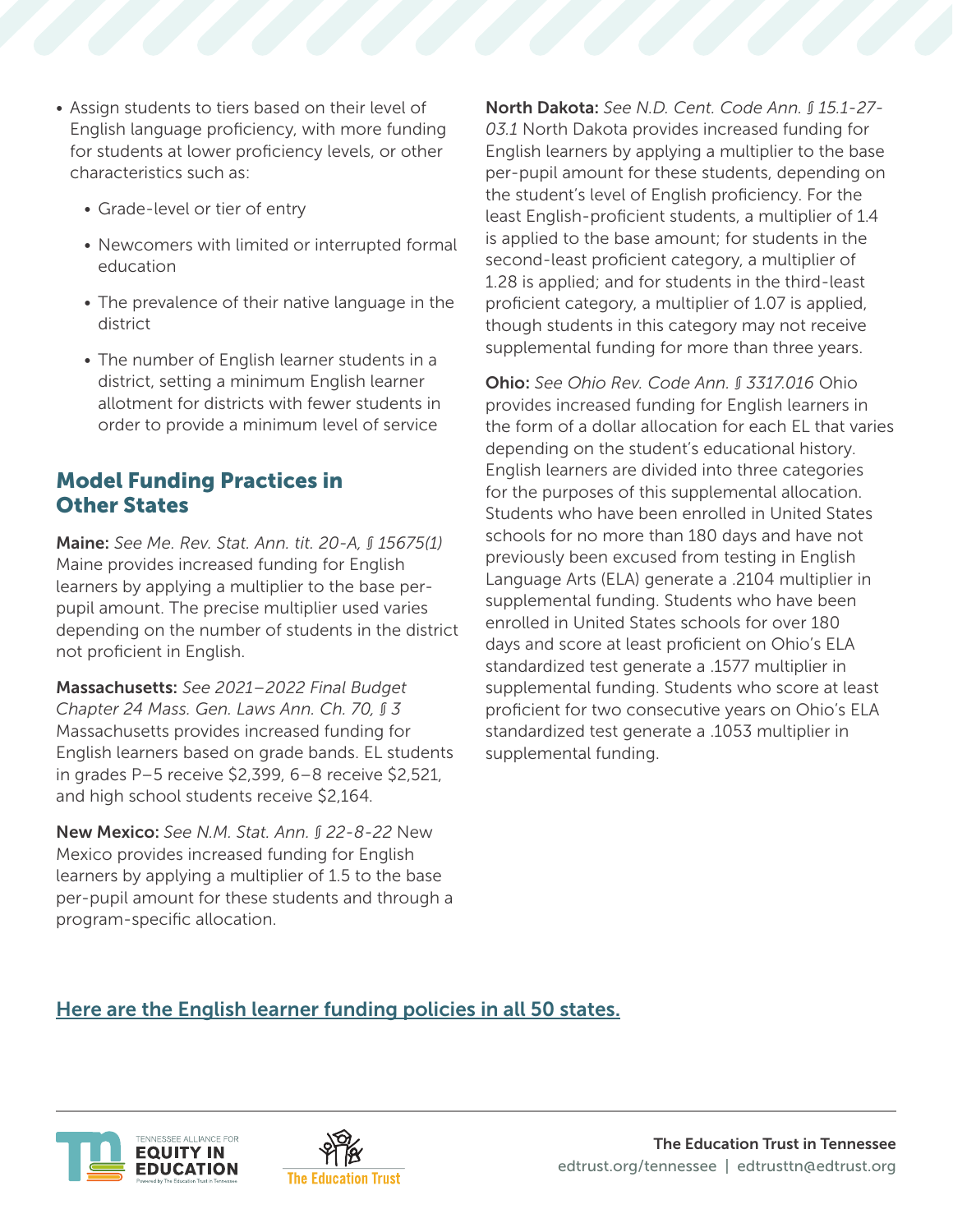- Assign students to tiers based on their level of English language proficiency, with more funding for students at lower proficiency levels, or other characteristics such as:
	- Grade-level or tier of entry
	- Newcomers with limited or interrupted formal education
	- The prevalence of their native language in the district
	- The number of English learner students in a district, setting a minimum English learner allotment for districts with fewer students in order to provide a minimum level of service

#### Model Funding Practices in Other States

Maine: *See Me. Rev. Stat. Ann. tit. 20-A, § 15675(1)* Maine provides increased funding for English learners by applying a multiplier to the base perpupil amount. The precise multiplier used varies depending on the number of students in the district not proficient in English.

Massachusetts: *See 2021–2022 Final Budget Chapter 24 Mass. Gen. Laws Ann. Ch. 70, § 3*  Massachusetts provides increased funding for English learners based on grade bands. EL students in grades P–5 receive \$2,399, 6–8 receive \$2,521, and high school students receive \$2,164.

New Mexico: *See N.M. Stat. Ann. § 22-8-22* New Mexico provides increased funding for English learners by applying a multiplier of 1.5 to the base per-pupil amount for these students and through a program-specific allocation.

North Dakota: *See N.D. Cent. Code Ann. § 15.1-27- 03.1* North Dakota provides increased funding for English learners by applying a multiplier to the base per-pupil amount for these students, depending on the student's level of English proficiency. For the least English-proficient students, a multiplier of 1.4 is applied to the base amount; for students in the second-least proficient category, a multiplier of 1.28 is applied; and for students in the third-least proficient category, a multiplier of 1.07 is applied, though students in this category may not receive supplemental funding for more than three years.

Ohio: *See Ohio Rev. Code Ann. § 3317.016* Ohio provides increased funding for English learners in the form of a dollar allocation for each EL that varies depending on the student's educational history. English learners are divided into three categories for the purposes of this supplemental allocation. Students who have been enrolled in United States schools for no more than 180 days and have not previously been excused from testing in English Language Arts (ELA) generate a .2104 multiplier in supplemental funding. Students who have been enrolled in United States schools for over 180 days and score at least proficient on Ohio's ELA standardized test generate a .1577 multiplier in supplemental funding. Students who score at least proficient for two consecutive years on Ohio's ELA standardized test generate a .1053 multiplier in supplemental funding.

#### Here are the English learner funding policies in all 50 states.